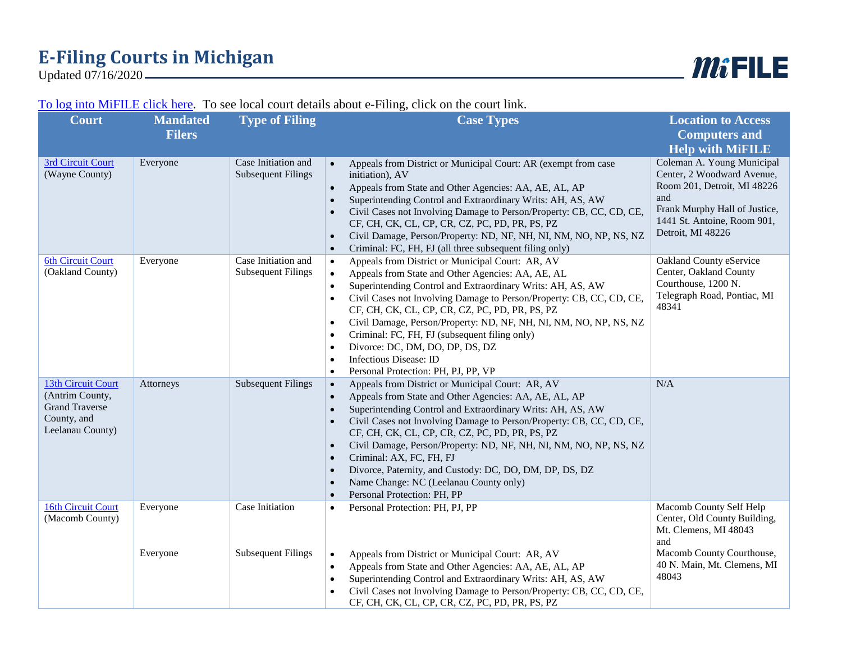## **E-Filing Courts in Michigan**

Updated 07/16/2020

## [To log into MiFILE click here.](https://mifile.courts.michigan.gov/login?ReturnUrl=/cases) To see local court details about e-Filing, click on the court link.

| <b>Court</b>                                                                                      | <b>Mandated</b> | <b>Type of Filing</b>                            | <b>Case Types</b>                                                                                                                                                                                                                                                                                                                                                                                                                                                                                                                                                                                                                                           | <b>Location to Access</b>                                                                                                                                                           |
|---------------------------------------------------------------------------------------------------|-----------------|--------------------------------------------------|-------------------------------------------------------------------------------------------------------------------------------------------------------------------------------------------------------------------------------------------------------------------------------------------------------------------------------------------------------------------------------------------------------------------------------------------------------------------------------------------------------------------------------------------------------------------------------------------------------------------------------------------------------------|-------------------------------------------------------------------------------------------------------------------------------------------------------------------------------------|
|                                                                                                   | <b>Filers</b>   |                                                  |                                                                                                                                                                                                                                                                                                                                                                                                                                                                                                                                                                                                                                                             | <b>Computers and</b>                                                                                                                                                                |
|                                                                                                   |                 |                                                  |                                                                                                                                                                                                                                                                                                                                                                                                                                                                                                                                                                                                                                                             | <b>Help with MIFILE</b>                                                                                                                                                             |
| 3rd Circuit Court<br>(Wayne County)                                                               | Everyone        | Case Initiation and<br><b>Subsequent Filings</b> | Appeals from District or Municipal Court: AR (exempt from case<br>$\bullet$<br>initiation), AV<br>Appeals from State and Other Agencies: AA, AE, AL, AP<br>Superintending Control and Extraordinary Writs: AH, AS, AW<br>$\bullet$<br>Civil Cases not Involving Damage to Person/Property: CB, CC, CD, CE,<br>CF, CH, CK, CL, CP, CR, CZ, PC, PD, PR, PS, PZ<br>Civil Damage, Person/Property: ND, NF, NH, NI, NM, NO, NP, NS, NZ<br>$\bullet$<br>Criminal: FC, FH, FJ (all three subsequent filing only)<br>$\bullet$                                                                                                                                      | Coleman A. Young Municipal<br>Center, 2 Woodward Avenue,<br>Room 201, Detroit, MI 48226<br>and<br>Frank Murphy Hall of Justice,<br>1441 St. Antoine, Room 901,<br>Detroit, MI 48226 |
| <b>6th Circuit Court</b><br>(Oakland County)                                                      | Everyone        | Case Initiation and<br><b>Subsequent Filings</b> | Appeals from District or Municipal Court: AR, AV<br>$\bullet$<br>Appeals from State and Other Agencies: AA, AE, AL<br>Superintending Control and Extraordinary Writs: AH, AS, AW<br>$\bullet$<br>Civil Cases not Involving Damage to Person/Property: CB, CC, CD, CE,<br>$\bullet$<br>CF, CH, CK, CL, CP, CR, CZ, PC, PD, PR, PS, PZ<br>Civil Damage, Person/Property: ND, NF, NH, NI, NM, NO, NP, NS, NZ<br>$\bullet$<br>Criminal: FC, FH, FJ (subsequent filing only)<br>$\bullet$<br>Divorce: DC, DM, DO, DP, DS, DZ<br>$\bullet$<br>Infectious Disease: ID<br>$\bullet$<br>Personal Protection: PH, PJ, PP, VP<br>$\bullet$                             | Oakland County eService<br>Center, Oakland County<br>Courthouse, 1200 N.<br>Telegraph Road, Pontiac, MI<br>48341                                                                    |
| 13th Circuit Court<br>(Antrim County,<br><b>Grand Traverse</b><br>County, and<br>Leelanau County) | Attorneys       | <b>Subsequent Filings</b>                        | Appeals from District or Municipal Court: AR, AV<br>$\bullet$<br>Appeals from State and Other Agencies: AA, AE, AL, AP<br>$\bullet$<br>Superintending Control and Extraordinary Writs: AH, AS, AW<br>$\bullet$<br>Civil Cases not Involving Damage to Person/Property: CB, CC, CD, CE,<br>$\bullet$<br>CF, CH, CK, CL, CP, CR, CZ, PC, PD, PR, PS, PZ<br>Civil Damage, Person/Property: ND, NF, NH, NI, NM, NO, NP, NS, NZ<br>$\bullet$<br>Criminal: AX, FC, FH, FJ<br>$\bullet$<br>Divorce, Paternity, and Custody: DC, DO, DM, DP, DS, DZ<br>$\bullet$<br>Name Change: NC (Leelanau County only)<br>$\bullet$<br>Personal Protection: PH, PP<br>$\bullet$ | N/A                                                                                                                                                                                 |
| 16th Circuit Court<br>(Macomb County)                                                             | Everyone        | Case Initiation                                  | Personal Protection: PH, PJ, PP<br>$\bullet$                                                                                                                                                                                                                                                                                                                                                                                                                                                                                                                                                                                                                | Macomb County Self Help<br>Center, Old County Building,<br>Mt. Clemens, MI 48043<br>and                                                                                             |
|                                                                                                   | Everyone        | <b>Subsequent Filings</b>                        | Appeals from District or Municipal Court: AR, AV<br>$\bullet$<br>Appeals from State and Other Agencies: AA, AE, AL, AP<br>$\bullet$<br>Superintending Control and Extraordinary Writs: AH, AS, AW<br>$\bullet$<br>Civil Cases not Involving Damage to Person/Property: CB, CC, CD, CE,<br>CF, CH, CK, CL, CP, CR, CZ, PC, PD, PR, PS, PZ                                                                                                                                                                                                                                                                                                                    | Macomb County Courthouse,<br>40 N. Main, Mt. Clemens, MI<br>48043                                                                                                                   |